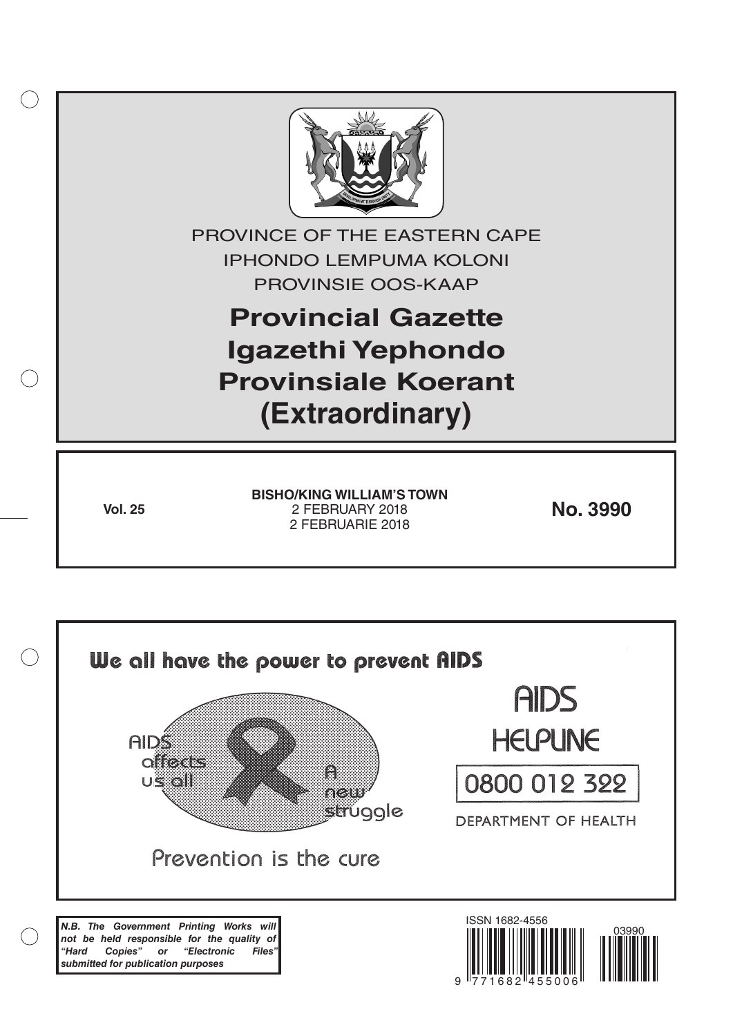

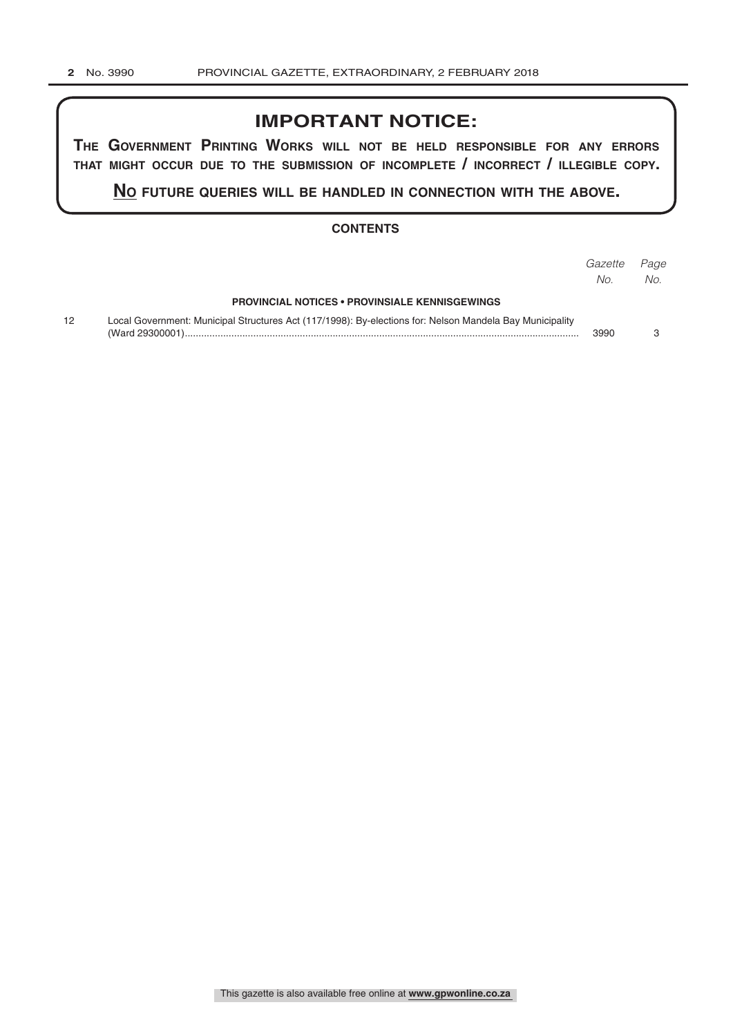## **IMPORTANT NOTICE:**

**The GovernmenT PrinTinG Works Will noT be held resPonsible for any errors ThaT miGhT occur due To The submission of incomPleTe / incorrecT / illeGible coPy.**

**no fuTure queries Will be handled in connecTion WiTh The above.**

#### **CONTENTS**

|    |                                                                                                          | Gazette<br>No. | Page<br>No. |
|----|----------------------------------------------------------------------------------------------------------|----------------|-------------|
|    | <b>PROVINCIAL NOTICES • PROVINSIALE KENNISGEWINGS</b>                                                    |                |             |
| 12 | Local Government: Municipal Structures Act (117/1998): By-elections for: Nelson Mandela Bay Municipality | 3990           |             |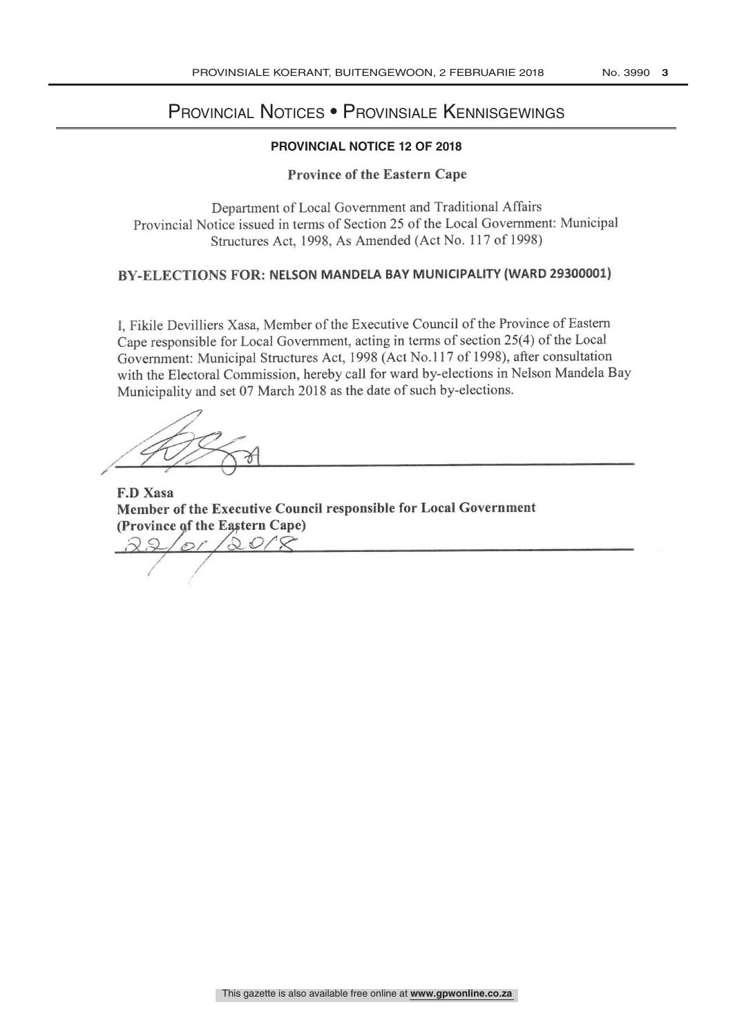# PROVINCIAL NOTICE Provincial Notices • Provinsiale Kennisgewings

#### **PROVINCIAL NOTICE 12 OF 2018**

#### Province of the Eastern Cape

Department of Local Government and Traditional Affairs Provincial Notice issued in terms of Section 25 of the Local Government: Municipal Structures Act, 1998, As Amended (Act No. 117 of 1998)

### BY-ELECTIONS FOR: NELSON MANDELA BAY MUNICIPALITY (WARD 29300001)

I, Fikile Devilliers Xasa, Member of the Executive Council of the Province of Eastern Cape responsible for Local Government, acting in terms of section 25(4) of the Local Government: Municipal Structures Act, 1998 (Act No.117 of 1998), after consultation with the Electoral Commission, hereby call for ward by- elections in Nelson Mandela Bay Municipality and set 07 March 2018 as the date of such by-elections.

F.D Xasa Member of the Executive Council responsible for Local Government (Province of the Eastern Cape)  $or/20/R$